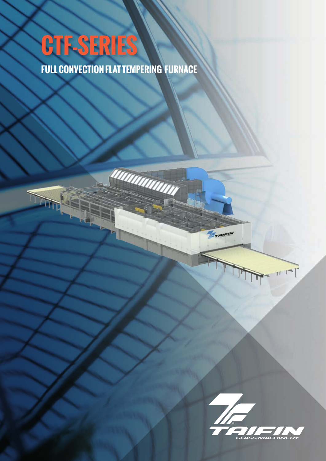# **CTF-SERIES**

**FULL CONVECTION FLAT TEMPERING FURNACE**

UNININININ



 $\Gamma$ 

Frairin